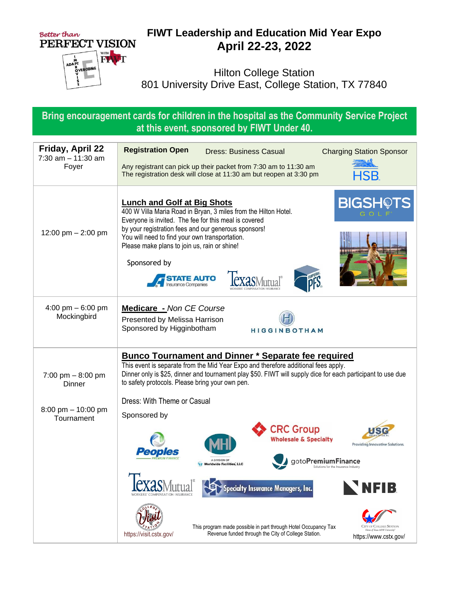

## **FIWT Leadership and Education Mid Year Expo April 22-23, 2022**

Hilton College Station 801 University Drive East, College Station, TX 77840

**Bring encouragement cards for children in the hospital as the Community Service Project at this event, sponsored by FIWT Under 40.**

| <b>Friday, April 22</b><br>$7:30$ am $-11:30$ am<br>Foyer | <b>Registration Open</b><br><b>Dress: Business Casual</b><br><b>Charging Station Sponsor</b><br>Any registrant can pick up their packet from 7:30 am to 11:30 am<br>The registration desk will close at 11:30 am but reopen at 3:30 pm<br>HSB.                                                                                                                                                      |
|-----------------------------------------------------------|-----------------------------------------------------------------------------------------------------------------------------------------------------------------------------------------------------------------------------------------------------------------------------------------------------------------------------------------------------------------------------------------------------|
| 12:00 pm $-$ 2:00 pm                                      | <b>BIGSHOTS</b><br><b>Lunch and Golf at Big Shots</b><br>400 W Villa Maria Road in Bryan, 3 miles from the Hilton Hotel.<br>Everyone is invited. The fee for this meal is covered<br>by your registration fees and our generous sponsors!<br>You will need to find your own transportation.<br>Please make plans to join us, rain or shine!<br>Sponsored by<br><b>IE AUTO</b><br>nsurance Companies |
| 4:00 pm $-6:00$ pm<br>Mockingbird                         | <b>Medicare</b> - Non CE Course<br>Presented by Melissa Harrison<br>Sponsored by Higginbotham<br>HIGGINBOTHAM                                                                                                                                                                                                                                                                                       |
| 7:00 pm $-8:00$ pm<br>Dinner<br>8:00 pm $-$ 10:00 pm      | <b>Bunco Tournament and Dinner * Separate fee required</b><br>This event is separate from the Mid Year Expo and therefore additional fees apply.<br>Dinner only is \$25, dinner and tournament play \$50. FIWT will supply dice for each participant to use due<br>to safety protocols. Please bring your own pen.<br>Dress: With Theme or Casual<br>Sponsored by                                   |
| Tournament                                                | <b>CRC Group</b><br><b>Wholesale &amp; Specialty</b><br><b>Providing Innovative Solutions.</b><br>A DIVISION OI<br><b>Worldwide Facilities, LLC</b><br><b>NFIB</b><br>pecialty Insurance Managers, Inc.                                                                                                                                                                                             |
|                                                           | This program made possible in part through Hotel Occupancy Tax<br>City of College Station<br>ome of Texas A&M U<br>Revenue funded through the City of College Station.<br>https://visit.cstx.gov/<br>https://www.cstx.gov/                                                                                                                                                                          |